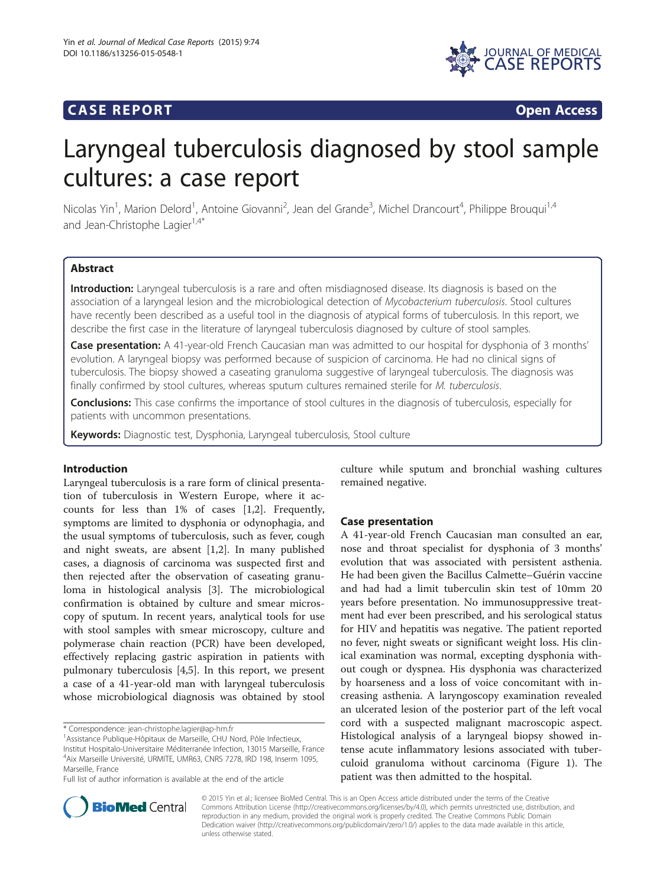## **CASE REPORT CASE REPORT**



# Laryngeal tuberculosis diagnosed by stool sample cultures: a case report

Nicolas Yin<sup>1</sup>, Marion Delord<sup>1</sup>, Antoine Giovanni<sup>2</sup>, Jean del Grande<sup>3</sup>, Michel Drancourt<sup>4</sup>, Philippe Brouqui<sup>1,4</sup> and Jean-Christophe Lagier<sup>1,4\*</sup>

## Abstract

Introduction: Laryngeal tuberculosis is a rare and often misdiagnosed disease. Its diagnosis is based on the association of a laryngeal lesion and the microbiological detection of Mycobacterium tuberculosis. Stool cultures have recently been described as a useful tool in the diagnosis of atypical forms of tuberculosis. In this report, we describe the first case in the literature of laryngeal tuberculosis diagnosed by culture of stool samples.

Case presentation: A 41-year-old French Caucasian man was admitted to our hospital for dysphonia of 3 months' evolution. A laryngeal biopsy was performed because of suspicion of carcinoma. He had no clinical signs of tuberculosis. The biopsy showed a caseating granuloma suggestive of laryngeal tuberculosis. The diagnosis was finally confirmed by stool cultures, whereas sputum cultures remained sterile for M. tuberculosis.

Conclusions: This case confirms the importance of stool cultures in the diagnosis of tuberculosis, especially for patients with uncommon presentations.

Keywords: Diagnostic test, Dysphonia, Laryngeal tuberculosis, Stool culture

## Introduction

Laryngeal tuberculosis is a rare form of clinical presentation of tuberculosis in Western Europe, where it accounts for less than 1% of cases [[1](#page-2-0),[2](#page-2-0)]. Frequently, symptoms are limited to dysphonia or odynophagia, and the usual symptoms of tuberculosis, such as fever, cough and night sweats, are absent [\[1,2](#page-2-0)]. In many published cases, a diagnosis of carcinoma was suspected first and then rejected after the observation of caseating granuloma in histological analysis [\[3](#page-2-0)]. The microbiological confirmation is obtained by culture and smear microscopy of sputum. In recent years, analytical tools for use with stool samples with smear microscopy, culture and polymerase chain reaction (PCR) have been developed, effectively replacing gastric aspiration in patients with pulmonary tuberculosis [\[4,5](#page-2-0)]. In this report, we present a case of a 41-year-old man with laryngeal tuberculosis whose microbiological diagnosis was obtained by stool

\* Correspondence: [jean-christophe.lagier@ap-hm.fr](mailto:jean-christophe.lagier@ap-hm.fr) <sup>1</sup>

Full list of author information is available at the end of the article

culture while sputum and bronchial washing cultures remained negative.

## Case presentation

A 41-year-old French Caucasian man consulted an ear, nose and throat specialist for dysphonia of 3 months' evolution that was associated with persistent asthenia. He had been given the Bacillus Calmette–Guérin vaccine and had had a limit tuberculin skin test of 10mm 20 years before presentation. No immunosuppressive treatment had ever been prescribed, and his serological status for HIV and hepatitis was negative. The patient reported no fever, night sweats or significant weight loss. His clinical examination was normal, excepting dysphonia without cough or dyspnea. His dysphonia was characterized by hoarseness and a loss of voice concomitant with increasing asthenia. A laryngoscopy examination revealed an ulcerated lesion of the posterior part of the left vocal cord with a suspected malignant macroscopic aspect. Histological analysis of a laryngeal biopsy showed intense acute inflammatory lesions associated with tuberculoid granuloma without carcinoma (Figure [1](#page-1-0)). The patient was then admitted to the hospital.



© 2015 Yin et al.; licensee BioMed Central. This is an Open Access article distributed under the terms of the Creative Commons Attribution License [\(http://creativecommons.org/licenses/by/4.0\)](http://creativecommons.org/licenses/by/4.0), which permits unrestricted use, distribution, and reproduction in any medium, provided the original work is properly credited. The Creative Commons Public Domain Dedication waiver [\(http://creativecommons.org/publicdomain/zero/1.0/](http://creativecommons.org/publicdomain/zero/1.0/)) applies to the data made available in this article, unless otherwise stated.

<sup>&</sup>lt;sup>1</sup> Assistance Publique-Hôpitaux de Marseille, CHU Nord, Pôle Infectieux,

Institut Hospitalo-Universitaire Méditerranée Infection, 13015 Marseille, France 4 Aix Marseille Université, URMITE, UMR63, CNRS 7278, IRD 198, Inserm 1095, Marseille, France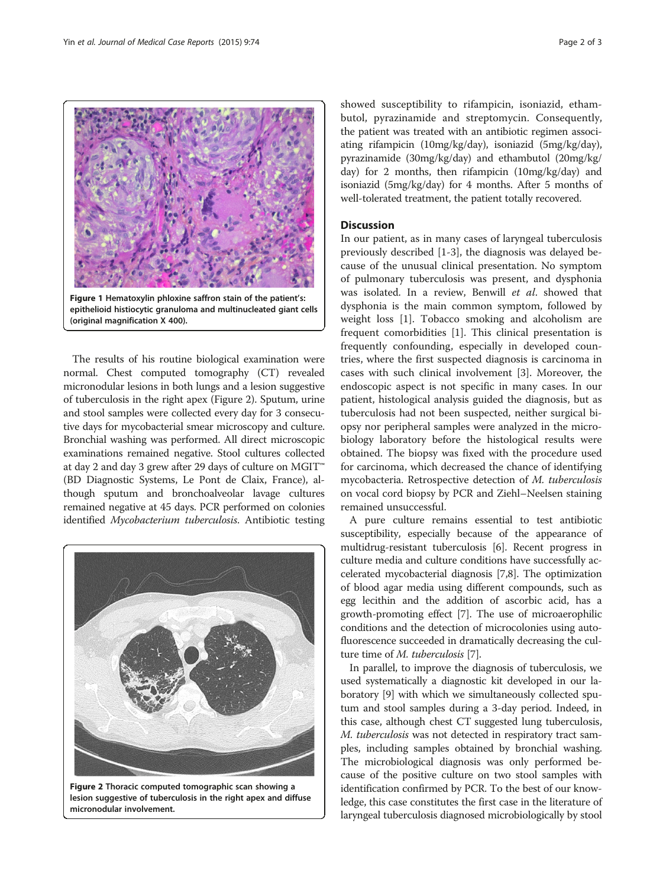<span id="page-1-0"></span>

epithelioid histiocytic granuloma and multinucleated giant cells (original magnification X 400).

The results of his routine biological examination were normal. Chest computed tomography (CT) revealed micronodular lesions in both lungs and a lesion suggestive of tuberculosis in the right apex (Figure 2). Sputum, urine and stool samples were collected every day for 3 consecutive days for mycobacterial smear microscopy and culture. Bronchial washing was performed. All direct microscopic examinations remained negative. Stool cultures collected at day 2 and day 3 grew after 29 days of culture on MGIT™ (BD Diagnostic Systems, Le Pont de Claix, France), although sputum and bronchoalveolar lavage cultures remained negative at 45 days. PCR performed on colonies identified Mycobacterium tuberculosis. Antibiotic testing



Figure 2 Thoracic computed tomographic scan showing a lesion suggestive of tuberculosis in the right apex and diffuse micronodular involvement.

showed susceptibility to rifampicin, isoniazid, ethambutol, pyrazinamide and streptomycin. Consequently, the patient was treated with an antibiotic regimen associating rifampicin (10mg/kg/day), isoniazid (5mg/kg/day), pyrazinamide (30mg/kg/day) and ethambutol (20mg/kg/ day) for 2 months, then rifampicin (10mg/kg/day) and isoniazid (5mg/kg/day) for 4 months. After 5 months of well-tolerated treatment, the patient totally recovered.

## **Discussion**

In our patient, as in many cases of laryngeal tuberculosis previously described [[1-3](#page-2-0)], the diagnosis was delayed because of the unusual clinical presentation. No symptom of pulmonary tuberculosis was present, and dysphonia was isolated. In a review, Benwill et al. showed that dysphonia is the main common symptom, followed by weight loss [[1\]](#page-2-0). Tobacco smoking and alcoholism are frequent comorbidities [[1\]](#page-2-0). This clinical presentation is frequently confounding, especially in developed countries, where the first suspected diagnosis is carcinoma in cases with such clinical involvement [[3](#page-2-0)]. Moreover, the endoscopic aspect is not specific in many cases. In our patient, histological analysis guided the diagnosis, but as tuberculosis had not been suspected, neither surgical biopsy nor peripheral samples were analyzed in the microbiology laboratory before the histological results were obtained. The biopsy was fixed with the procedure used for carcinoma, which decreased the chance of identifying mycobacteria. Retrospective detection of M. tuberculosis on vocal cord biopsy by PCR and Ziehl–Neelsen staining remained unsuccessful.

A pure culture remains essential to test antibiotic susceptibility, especially because of the appearance of multidrug-resistant tuberculosis [[6](#page-2-0)]. Recent progress in culture media and culture conditions have successfully accelerated mycobacterial diagnosis [\[7,8](#page-2-0)]. The optimization of blood agar media using different compounds, such as egg lecithin and the addition of ascorbic acid, has a growth-promoting effect [\[7\]](#page-2-0). The use of microaerophilic conditions and the detection of microcolonies using autofluorescence succeeded in dramatically decreasing the culture time of *M. tuberculosis* [[7\]](#page-2-0).

In parallel, to improve the diagnosis of tuberculosis, we used systematically a diagnostic kit developed in our laboratory [\[9\]](#page-2-0) with which we simultaneously collected sputum and stool samples during a 3-day period. Indeed, in this case, although chest CT suggested lung tuberculosis, M. tuberculosis was not detected in respiratory tract samples, including samples obtained by bronchial washing. The microbiological diagnosis was only performed because of the positive culture on two stool samples with identification confirmed by PCR. To the best of our knowledge, this case constitutes the first case in the literature of laryngeal tuberculosis diagnosed microbiologically by stool